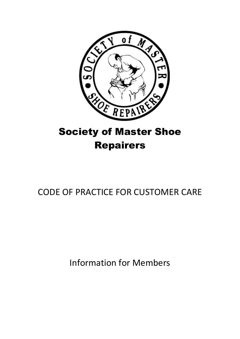

# Society of Master Shoe Repairers

## CODE OF PRACTICE FOR CUSTOMER CARE

Information for Members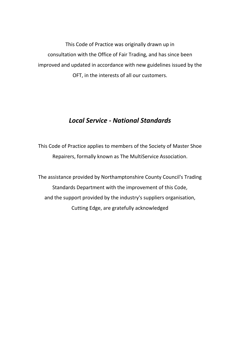This Code of Practice was originally drawn up in consultation with the Office of Fair Trading, and has since been improved and updated in accordance with new guidelines issued by the OFT, in the interests of all our customers.

#### *Local Service - National Standards*

This Code of Practice applies to members of the Society of Master Shoe Repairers, formally known as The MultiService Association.

The assistance provided by Northamptonshire County Council's Trading Standards Department with the improvement of this Code, and the support provided by the industry's suppliers organisation, Cutting Edge, are gratefully acknowledged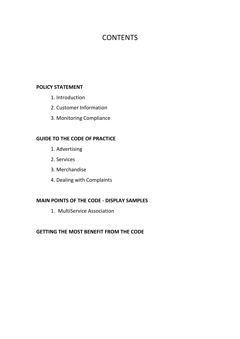## **CONTENTS**

#### **POLICY STATEMENT**

- 1. Introduction
- 2. Customer Information
- 3. Monitoring Compliance

#### **GUIDE TO THE CODE OF PRACTICE**

- 1. Advertising
- 2. Services
- 3. Merchandise
- 4. Dealing with Complaints

#### **MAIN POINTS OF THE CODE - DISPLAY SAMPLES**

1. MultiService Association

#### **GETTING THE MOST BENEFIT FROM THE CODE**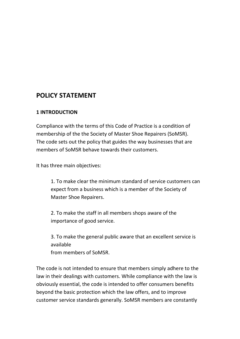### **POLICY STATEMENT**

#### **1 INTRODUCTION**

Compliance with the terms of this Code of Practice is a condition of membership of the the Society of Master Shoe Repairers (SoMSR). The code sets out the policy that guides the way businesses that are members of SoMSR behave towards their customers.

It has three main objectives:

1. To make clear the minimum standard of service customers can expect from a business which is a member of the Society of Master Shoe Repairers.

2. To make the staff in all members shops aware of the importance of good service.

3. To make the general public aware that an excellent service is available from members of SoMSR.

The code is not intended to ensure that members simply adhere to the law in their dealings with customers. While compliance with the law is obviously essential, the code is intended to offer consumers benefits beyond the basic protection which the law offers, and to improve customer service standards generally. SoMSR members are constantly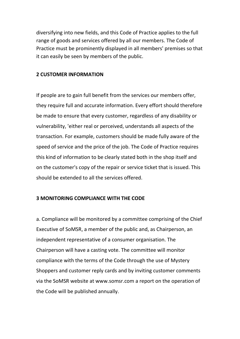diversifying into new fields, and this Code of Practice applies to the full range of goods and services offered by all our members. The Code of Practice must be prominently displayed in all members' premises so that it can easily be seen by members of the public.

#### **2 CUSTOMER INFORMATION**

If people are to gain full benefit from the services our members offer, they require full and accurate information. Every effort should therefore be made to ensure that every customer, regardless of any disability or vulnerability, 'either real or perceived, understands all aspects of the transaction. For example, customers should be made fully aware of the speed of service and the price of the job. The Code of Practice requires this kind of information to be clearly stated both in the shop itself and on the customer's copy of the repair or service ticket that is issued. This should be extended to all the services offered.

#### **3 MONITORING COMPLIANCE WITH THE CODE**

a. Compliance will be monitored by a committee comprising of the Chief Executive of SoMSR, a member of the public and, as Chairperson, an independent representative of a consumer organisation. The Chairperson will have a casting vote. The committee will monitor compliance with the terms of the Code through the use of Mystery Shoppers and customer reply cards and by inviting customer comments via the SoMSR website at www.somsr.com a report on the operation of the Code will be published annually.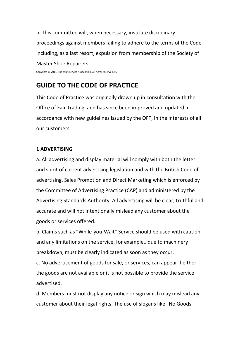b. This committee will, when necessary, institute disciplinary proceedings against members failing to adhere to the terms of the Code including, as a last resort, expulsion from membership of the Society of Master Shoe Repairers.

Copyright © 2011. The MultiService Association. All rights reserved.! 6

### **GUIDE TO THE CODE OF PRACTICE**

This Code of Practice was originally drawn up in consultation with the Office of Fair Trading, and has since been improved and updated in accordance with new guidelines issued by the OFT, in the interests of all our customers.

#### **1 ADVERTISING**

a. All advertising and display material will comply with both the letter and spirit of current advertising legislation and with the British Code of advertising, Sales Promotion and Direct Marketing which is enforced by the Committee of Advertising Practice (CAP) and administered by the Advertising Standards Authority. All advertising will be clear, truthful and accurate and will not intentionally mislead any customer about the goods or services offered.

b. Claims such as "While-you-Wait" Service should be used with caution and any limitations on the service, for example,. due to machinery breakdown, must be clearly indicated as soon as they occur.

c. No advertisement of goods for sale, or services, can appear if either the goods are not available or it is not possible to provide the service advertised.

d. Members must not display any notice or sign which may mislead any customer about their legal rights. The use of slogans like "No Goods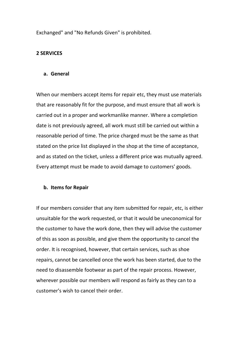Exchanged" and "No Refunds Given" is prohibited.

#### **2 SERVICES**

#### **a. General**

When our members accept items for repair etc, they must use materials that are reasonably fit for the purpose, and must ensure that all work is carried out in a proper and workmanlike manner. Where a completion date is not previously agreed, all work must still be carried out within a reasonable period of time. The price charged must be the same as that stated on the price list displayed in the shop at the time of acceptance, and as stated on the ticket, unless a different price was mutually agreed. Every attempt must be made to avoid damage to customers' goods.

#### **b. Items for Repair**

If our members consider that any item submitted for repair, etc, is either unsuitable for the work requested, or that it would be uneconomical for the customer to have the work done, then they will advise the customer of this as soon as possible, and give them the opportunity to cancel the order. It is recognised, however, that certain services, such as shoe repairs, cannot be cancelled once the work has been started, due to the need to disassemble footwear as part of the repair process. However, wherever possible our members will respond as fairly as they can to a customer's wish to cancel their order.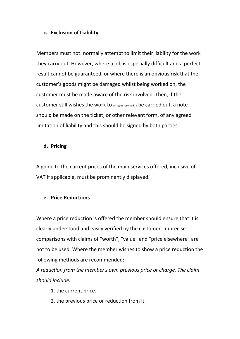#### **c. Exclusion of Liability**

Members must not. normally attempt to limit their liability for the work they carry out. However, where a job is especially difficult and a perfect result cannot be guaranteed, or where there is an obvious risk that the customer's goods might be damaged whilst being worked on, the customer must be made aware of the risk involved. Then, if the customer still wishes the work to All rights reserved.! 8be carried out, a note should be made on the ticket, or other relevant form, of any agreed limitation of liability and this should be signed by both parties.

#### **d. Pricing**

A guide to the current prices of the main services offered, inclusive of VAT if applicable, must be prominently displayed.

#### **e. Price Reductions**

Where a price reduction is offered the member should ensure that it is clearly understood and easily verified by the customer. Imprecise comparisons with claims of "worth", "value" and "price elsewhere" are not to be used. Where the member wishes to show a price reduction the following methods are recommended:

*A reduction from the member's own previous price or charge. The claim should include:*

- 1. the current price.
- 2. the previous price or reduction from it.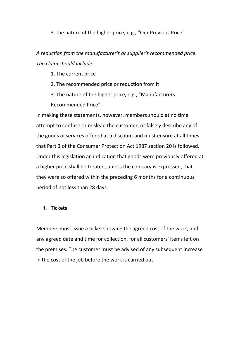3. the nature of the higher price, e.g., "Our Previous Price".

*A reduction from the manufacturer's or supplier's recommended price. The claim should include:*

1. The current price

- 2. The recommended price or reduction from it
- 3. The nature of the higher price, e.g., "Manufacturers Recommended Price".

In making these statements, however, members should at no time attempt to confuse or mislead the customer, or falsely describe any of the goods orservices offered at a discount and must ensure at all times that Part 3 of the Consumer Protection Act 1987 section 20 is followed. Under this legislation an indication that goods were previously offered at a higher price shall be treated, unless the contrary is expressed, that they were so offered within the preceding 6 months for a continuous period of not less than 28 days.

#### **f. Tickets**

Members must issue a ticket showing the agreed cost of the work, and any agreed date and time for collection, for all customers' items left on the premises. The customer must be advised of any subsequent increase in the cost of the job before the work is carried out.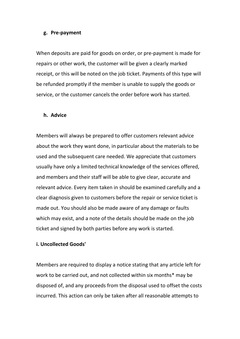#### **g. Pre-payment**

When deposits are paid for goods on order, or pre-payment is made for repairs or other work, the customer will be given a clearly marked receipt, or this will be noted on the job ticket. Payments of this type will be refunded promptly if the member is unable to supply the goods or service, or the customer cancels the order before work has started.

#### **h. Advice**

Members will always be prepared to offer customers relevant advice about the work they want done, in particular about the materials to be used and the subsequent care needed. We appreciate that customers usually have only a limited technical knowledge of the services offered, and members and their staff will be able to give clear, accurate and relevant advice. Every item taken in should be examined carefully and a clear diagnosis given to customers before the repair or service ticket is made out. You should also be made aware of any damage or faults which may exist, and a note of the details should be made on the job ticket and signed by both parties before any work is started.

#### **i. Uncollected Goods'**

Members are required to display a notice stating that any article left for work to be carried out, and not collected within six months\* may be disposed of, and any proceeds from the disposal used to offset the costs incurred. This action can only be taken after all reasonable attempts to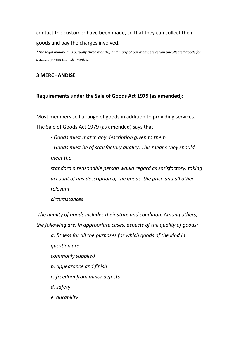contact the customer have been made, so that they can collect their goods and pay the charges involved.

*\*The legal minimum is actually three months, and many of our members retain uncollected goods for a longer period than six months.*

#### **3 MERCHANDISE**

#### **Requirements under the Sale of Goods Act 1979 (as amended):**

Most members sell a range of goods in addition to providing services. The Sale of Goods Act 1979 (as amended) says that:

*- Goods must match any description given to them*

*- Goods must be of satisfactory quality. This means they should meet the*

*standard a reasonable person would regard as satisfactory, taking account of any description of the goods, the price and all other relevant*

*circumstances*

*The quality of goods includes their state and condition. Among others, the following are, in appropriate cases, aspects of the quality of goods:*

*a. fitness for all the purposes for which goods of the kind in question are commonly supplied b. appearance and finish c. freedom from minor defects d. safety e. durability*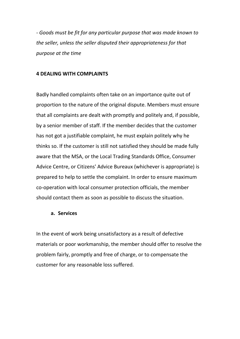*- Goods must be fit for any particular purpose that was made known to the seller, unless the seller disputed their appropriateness for that purpose at the time*

#### **4 DEALING WITH COMPLAINTS**

Badly handled complaints often take on an importance quite out of proportion to the nature of the original dispute. Members must ensure that all complaints are dealt with promptly and politely and, if possible, by a senior member of staff. If the member decides that the customer has not got a justifiable complaint, he must explain politely why he thinks so. If the customer is still not satisfied they should be made fully aware that the MSA, or the Local Trading Standards Office, Consumer Advice Centre, or Citizens' Advice Bureaux (whichever is appropriate) is prepared to help to settle the complaint. In order to ensure maximum co-operation with local consumer protection officials, the member should contact them as soon as possible to discuss the situation.

#### **a. Services**

In the event of work being unsatisfactory as a result of defective materials or poor workmanship, the member should offer to resolve the problem fairly, promptly and free of charge, or to compensate the customer for any reasonable loss suffered.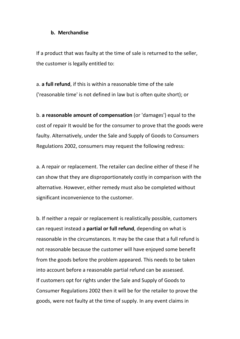#### **b. Merchandise**

If a product that was faulty at the time of sale is returned to the seller, the customer is legally entitled to:

a. **a full refund**, if this is within a reasonable time of the sale ('reasonable time' is not defined in law but is often quite short); or

b. **a reasonable amount of compensation** (or 'damages') equal to the cost of repair It would be for the consumer to prove that the goods were faulty. Alternatively, under the Sale and Supply of Goods to Consumers Regulations 2002, consumers may request the following redress:

a. A repair or replacement. The retailer can decline either of these if he can show that they are disproportionately costly in comparison with the alternative. However, either remedy must also be completed without significant inconvenience to the customer.

b. If neither a repair or replacement is realistically possible, customers can request instead a **partial or full refund**, depending on what is reasonable in the circumstances. It may be the case that a full refund is not reasonable because the customer will have enjoyed some benefit from the goods before the problem appeared. This needs to be taken into account before a reasonable partial refund can be assessed. If customers opt for rights under the Sale and Supply of Goods to Consumer Regulations 2002 then it will be for the retailer to prove the goods, were not faulty at the time of supply. In any event claims in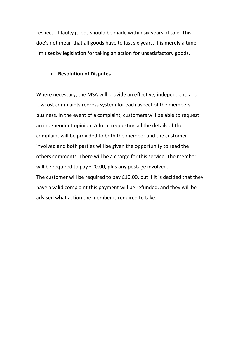respect of faulty goods should be made within six years of sale. This doe's not mean that all goods have to last six years, it is merely a time limit set by legislation for taking an action for unsatisfactory goods.

#### **c. Resolution of Disputes**

Where necessary, the MSA will provide an effective, independent, and lowcost complaints redress system for each aspect of the members' business. In the event of a complaint, customers will be able to request an independent opinion. A form requesting all the details of the complaint will be provided to both the member and the customer involved and both parties will be given the opportunity to read the others comments. There will be a charge for this service. The member will be required to pay £20.00, plus any postage involved. The customer will be required to pay £10.00, but if it is decided that they have a valid complaint this payment will be refunded, and they will be advised what action the member is required to take.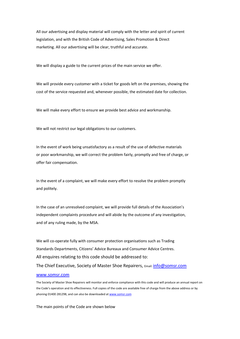All our advertising and display material will comply with the letter and spirit of current legislation, and with the British Code of Advertising, Sales Promotion & Direct marketing. All our advertising will be clear, truthful and accurate.

We will display a guide to the current prices of the main service we offer.

We will provide every customer with a ticket for goods left on the premises, showing the cost of the service requested and, whenever possible, the estimated date for collection.

We will make every effort to ensure we provide best advice and workmanship.

We will not restrict our legal obligations to our customers.

In the event of work being unsatisfactory as a result of the use of defective materials or poor workmanship, we will correct the problem fairly, promptly and free of charge, or offer fair compensation.

In the event of a complaint, we will make every effort to resolve the problem promptly and politely.

In the case of an unresolved complaint, we will provide full details of the Association's independent complaints procedure and will abide by the outcome of any investigation, and of any ruling made, by the MSA.

We will co-operate fully with consumer protection organisations such as Trading Standards Departments, Citizens' Advice Bureaux and Consumer Advice Centres. All enquires relating to this code should be addressed to: The Chief Executive, Society of Master Shoe Repairers, Email: [info@somsr.com](mailto:info@somsr.com) [www.somsr.com](http://www.somsr.com/)

The Society of Master Shoe Repairers will monitor and enforce compliance with this code and will produce an annual report on the Code's operation and its effectiveness. Full copies of the code are available free of charge from the above address or by phoning 01400 281298, and can also be downloaded a[t www.somsr.com](http://www.somsr.com/)

The main points of the Code are shown below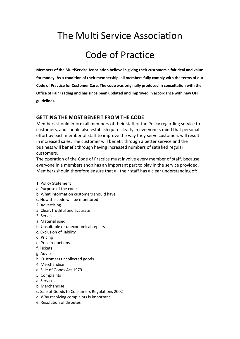# The Multi Service Association

## Code of Practice

**Members of the MultiService Association believe in giving their customers a fair deal and value for money. As a condition of their membership, all members fully comply with the terms of our Code of Practice for Customer Care. The code was originally produced in consultation with the Office of Fair Trading and has since been updated and improved in accordance with new OFT guidelines.**

#### **GETTING THE MOST BENEFIT FROM THE CODE**

Members should inform all members of their staff of the Policy regarding service to customers, and should also establish quite clearly in everyone's mind that personal effort by each member of staff to improve the way they serve customers will result in increased sales. The customer will benefit through a better service and the business will benefit through having increased numbers of satisfied regular customers.

The operation of the Code of Practice must involve every member of staff, because everyone in a members shop has an important part to play in the service provided. Members should therefore ensure that all their staff has a clear understanding of:

- 1. Policy Statement
- a. Purpose of the code
- b. What information customers should have
- c. How the code will be monitored
- 2. Advertising
- a. Clear, truthful and accurate
- 3. Services
- a. Material used
- b. Unsuitable or uneconomical repairs
- c. Exclusion of liability
- d. Pricing
- e. Price reductions
- f. Tickets
- g. Advice
- h. Customers uncollected goods
- 4. Merchandise
- a. Sale of Goods Act 1979
- 5. Complaints
- a. Services
- b. Merchandise
- c. Sale of Goods to Consumers Regulations 2002
- d. Why resolving complaints is important
- e. Resolution of disputes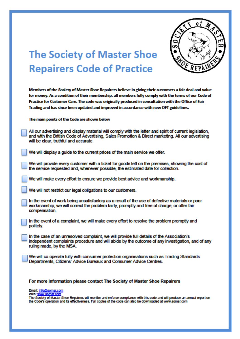

# **The Society of Master Shoe Repairers Code of Practice**

Members of the Society of Master Shoe Repairers believe in giving their customers a fair deal and value for money. As a condition of their membership, all members fully comply with the terms of our Code of Practice for Customer Care. The code was originally produced in consultation with the Office of Fair Trading and has since been updated and improved in accordance with new OFT guidelines.

The main points of the Code are shown below

All our advertising and display material will comply with the letter and spirit of current legislation. and with the British Code of Advertising, Sales Promotion & Direct marketing. All our advertising will be clear, truthful and accurate.

We will display a quide to the current prices of the main service we offer.

We will provide every customer with a ticket for goods left on the premises, showing the cost of the service requested and, whenever possible, the estimated date for collection.

We will make every effort to ensure we provide best advice and workmanship.

We will not restrict our legal obligations to our customers.

In the event of work being unsatisfactory as a result of the use of defective materials or poor workmanship, we will correct the problem fairly, promptly and free of charge, or offer fair compensation.

In the event of a complaint, we will make every effort to resolve the problem promptly and politely.

In the case of an unresolved complaint, we will provide full details of the Association's independent complaints procedure and will abide by the outcome of any investigation, and of any ruling made, by the MSA.

We will co-operate fully with consumer protection organisations such as Trading Standards Departments, Citizens' Advice Bureaux and Consumer Advice Centres.

For more information please contact The Society of Master Shoe Repairers

Email: Info@somsr.com Web: www.somsr.com

The Society of Master Shoe Repairers will monitor and enforce compilance with this code and will produce an annual report on the Code's operation and its effectiveness. Full copies of the code can also be downloaded at www.somsr.com